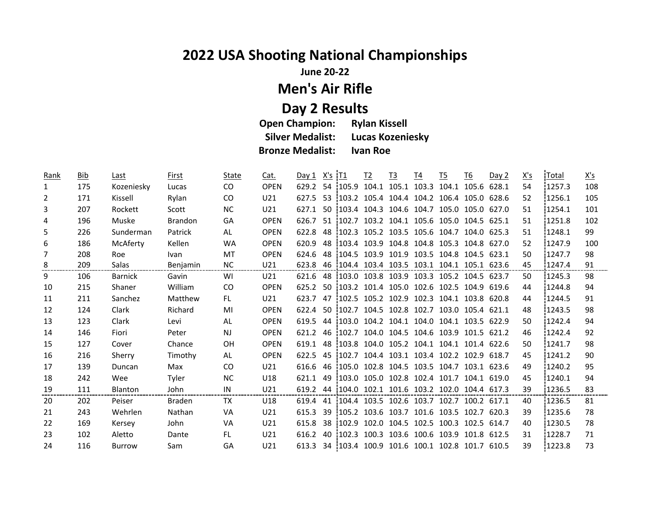## **2022 USA Shooting National Championships**

**June 20-22**

## **Men's Air Rifle**

**Day 2 Results Open Champion:<br>Silver Medalist: Lucas Kozeniesky Bronze Medalist: Ivan Roe**

| Rank           | <b>Bib</b> | Last           | First           | State         | Cat.            | Day 1 | $X's$ $IT1$ |          | I2    | $\underline{13}$ | T4                | $\underline{15}$                             | <u>T6</u> | Day 2 | <u>X's</u> | Total  | $\underline{X's}$ |
|----------------|------------|----------------|-----------------|---------------|-----------------|-------|-------------|----------|-------|------------------|-------------------|----------------------------------------------|-----------|-------|------------|--------|-------------------|
| 1              | 175        | Kozeniesky     | Lucas           | <sub>CO</sub> | <b>OPEN</b>     | 629.2 |             | 54 105.9 | 104.1 |                  |                   | 105.1 103.3 104.1 105.6                      |           | 628.1 | 54         | 1257.3 | 108               |
| $\overline{2}$ | 171        | Kissell        | Rylan           | <sub>CO</sub> | U21             | 627.5 | 53          |          |       |                  |                   | $103.2$ 105.4 104.4 104.2 106.4 105.0        |           | 628.6 | 52         | 1256.1 | 105               |
| 3              | 207        | Rockett        | Scott           | <b>NC</b>     | U21             | 627.1 | 50          | 103.4    |       |                  |                   | 104.3 104.6 104.7 105.0 105.0 627.0          |           |       | 51         | 1254.1 | 101               |
| 4              | 196        | Muske          | <b>Brandon</b>  | GA            | <b>OPEN</b>     | 626.7 |             |          |       |                  |                   | 51 102.7 103.2 104.1 105.6 105.0 104.5 625.1 |           |       | 51         | 1251.8 | 102               |
| 5              | 226        | Sunderman      | Patrick         | AL            | <b>OPEN</b>     | 622.8 | 48          | 102.3    |       |                  |                   | 105.2 103.5 105.6 104.7 104.0 625.3          |           |       | 51         | 1248.1 | 99                |
| 6              | 186        | McAferty       | Kellen          | <b>WA</b>     | <b>OPEN</b>     | 620.9 |             |          |       |                  |                   | 48 103.4 103.9 104.8 104.8 105.3 104.8 627.0 |           |       | 52         | 1247.9 | 100               |
| 7              | 208        | Roe            | <b>Ivan</b>     | MT            | <b>OPEN</b>     | 624.6 | 48          | 104.5    |       |                  |                   | 103.9 101.9 103.5 104.8 104.5 623.1          |           |       | 50         | 1247.7 | 98                |
| 8              | 209        | Salas          | <b>Benjamin</b> | <b>NC</b>     | U21             | 623.8 |             |          |       |                  |                   | 46 104.4 103.4 103.5 103.1 104.1 105.1 623.6 |           |       | 45         | 1247.4 | 91                |
| 9              | 106        | <b>Barnick</b> | Gavin           | WI            | U21             | 621.6 |             |          |       |                  |                   | 48 103.0 103.8 103.9 103.3 105.2 104.5 623.7 |           |       | 50         | 1245.3 | 98                |
| 10             | 215        | Shaner         | William         | <sub>CO</sub> | <b>OPEN</b>     | 625.2 |             |          |       |                  |                   | 50 103.2 101.4 105.0 102.6 102.5 104.9       |           | 619.6 | 44         | 1244.8 | 94                |
| 11             | 211        | Sanchez        | Matthew         | FL.           | U21             | 623.7 | 47          | 102.5    |       |                  |                   | 105.2 102.9 102.3 104.1 103.8 620.8          |           |       | 44         | 1244.5 | 91                |
| 12             | 124        | Clark          | Richard         | MI            | <b>OPEN</b>     | 622.4 |             | 50 102.7 |       |                  |                   | 104.5 102.8 102.7 103.0 105.4 621.1          |           |       | 48         | 1243.5 | 98                |
| 13             | 123        | Clark          | Levi            | AL            | <b>OPEN</b>     | 619.5 | 44          | 103.0    |       |                  |                   | 104.2 104.1 104.0 104.1 103.5                |           | 622.9 | 50         | 1242.4 | 94                |
| 14             | 146        | Fiori          | Peter           | <b>NJ</b>     | <b>OPEN</b>     | 621.2 |             | 46 102.7 |       |                  |                   | 104.0 104.5 104.6 103.9 101.5 621.2          |           |       | 46         | 1242.4 | 92                |
| 15             | 127        | Cover          | Chance          | 0H            | <b>OPEN</b>     | 619.1 | 48          | 103.8    |       |                  |                   | 104.0 105.2 104.1 104.1 101.4 622.6          |           |       | 50         | 1241.7 | 98                |
| 16             | 216        | Sherry         | Timothy         | AL            | <b>OPEN</b>     | 622.5 | -45         |          |       |                  |                   | 102.7 104.4 103.1 103.4 102.2 102.9 618.7    |           |       | 45         | 1241.2 | 90                |
| 17             | 139        | Duncan         | Max             | CO.           | U21             | 616.6 | 46          | 105.0    |       |                  |                   | 102.8 104.5 103.5 104.7 103.1 623.6          |           |       | 49         | 1240.2 | 95                |
| 18             | 242        | Wee            | Tyler           | <b>NC</b>     | U18             | 621.1 | 49          |          |       |                  |                   | 103.0 105.0 102.8 102.4 101.7 104.1 619.0    |           |       | 45         | 1240.1 | 94                |
| 19             | 111        | <b>Blanton</b> | John            | IN            | U21             | 619.2 | 44          | 104.0    |       |                  |                   | 102.1 101.6 103.2 102.0 104.4 617.3          |           |       | 39         | 1236.5 | 83                |
| 20             | 202        | Peiser         | Braden          | TX            | U18             | 619.4 |             |          |       |                  |                   | 41 104.4 103.5 102.6 103.7 102.7 100.2 617.1 |           |       | 40         | 1236.5 | 81                |
| 21             | 243        | Wehrlen        | Nathan          | VA            | U21             | 615.3 | 39          |          |       |                  |                   | 105.2 103.6 103.7 101.6 103.5 102.7 620.3    |           |       | 39         | 1235.6 | 78                |
| 22             | 169        | Kersey         | John            | VA            | U21             | 615.8 |             | 38 102.9 |       |                  |                   | 102.0 104.5 102.5 100.3 102.5 614.7          |           |       | 40         | 1230.5 | 78                |
| 23             | 102        | Aletto         | Dante           | FL.           | U21             | 616.2 |             | 40 102.3 |       |                  | 100.3 103.6 100.6 | 103.9 101.8                                  |           | 612.5 | 31         | 1228.7 | 71                |
| 24             | 116        | <b>Burrow</b>  | Sam             | GA            | U <sub>21</sub> | 613.3 |             |          |       |                  |                   | 34 103.4 100.9 101.6 100.1 102.8 101.7       |           | 610.5 | 39         | 1223.8 | 73                |